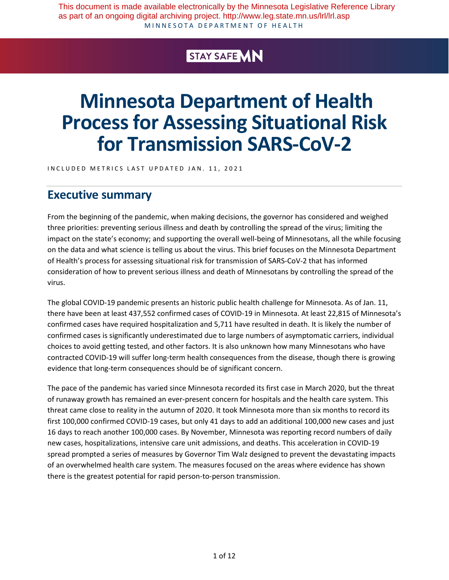MINNESOTA DEPARTMENT OF HEALTH This document is made available electronically by the Minnesota Legislative Reference Library as part of an ongoing digital archiving project. http://www.leg.state.mn.us/lrl/lrl.asp

# STAY SAFE VIN

# **Minnesota Department of Health Process for Assessing Situational Risk for Transmission SARS-CoV-2**

INCLUDED METRICS LAST UPDATED JAN. 11, 2021

# **Executive summary**

From the beginning of the pandemic, when making decisions, the governor has considered and weighed three priorities: preventing serious illness and death by controlling the spread of the virus; limiting the impact on the state's economy; and supporting the overall well-being of Minnesotans, all the while focusing on the data and what science is telling us about the virus. This brief focuses on the Minnesota Department of Health's process for assessing situational risk for transmission of SARS-CoV-2 that has informed consideration of how to prevent serious illness and death of Minnesotans by controlling the spread of the virus.

The global COVID-19 pandemic presents an historic public health challenge for Minnesota. As of Jan. 11, there have been at least 437,552 confirmed cases of COVID-19 in Minnesota. At least 22,815 of Minnesota's confirmed cases have required hospitalization and 5,711 have resulted in death. It is likely the number of confirmed cases is significantly underestimated due to large numbers of asymptomatic carriers, individual choices to avoid getting tested, and other factors. It is also unknown how many Minnesotans who have contracted COVID-19 will suffer long-term health consequences from the disease, though there is growing evidence that long-term consequences should be of significant concern.

The pace of the pandemic has varied since Minnesota recorded its first case in March 2020, but the threat of runaway growth has remained an ever-present concern for hospitals and the health care system. This threat came close to reality in the autumn of 2020. It took Minnesota more than six months to record its first 100,000 confirmed COVID-19 cases, but only 41 days to add an additional 100,000 new cases and just 16 days to reach another 100,000 cases. By November, Minnesota was reporting record numbers of daily new cases, hospitalizations, intensive care unit admissions, and deaths. This acceleration in COVID-19 spread prompted a series of measures by Governor Tim Walz designed to prevent the devastating impacts of an overwhelmed health care system. The measures focused on the areas where evidence has shown there is the greatest potential for rapid person-to-person transmission.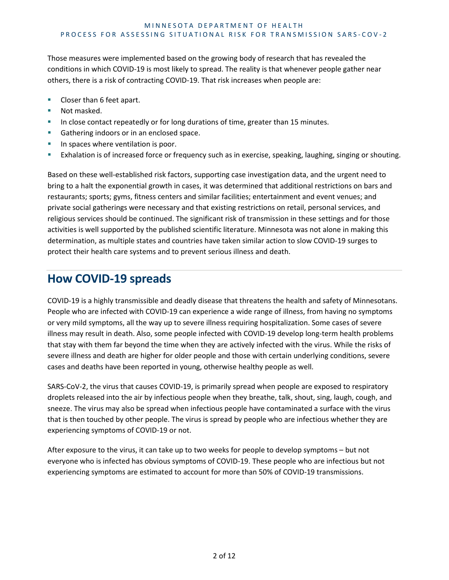Those measures were implemented based on the growing body of research that has revealed the conditions in which COVID-19 is most likely to spread. The reality is that whenever people gather near others, there is a risk of contracting COVID-19. That risk increases when people are:

- Closer than 6 feet apart.
- Not masked.
- In close contact repeatedly or for long durations of time, greater than 15 minutes.
- Gathering indoors or in an enclosed space.
- In spaces where ventilation is poor.
- **Exhalation is of increased force or frequency such as in exercise, speaking, laughing, singing or shouting.**

Based on these well-established risk factors, supporting case investigation data, and the urgent need to bring to a halt the exponential growth in cases, it was determined that additional restrictions on bars and restaurants; sports; gyms, fitness centers and similar facilities; entertainment and event venues; and private social gatherings were necessary and that existing restrictions on retail, personal services, and religious services should be continued. The significant risk of transmission in these settings and for those activities is well supported by the published scientific literature. Minnesota was not alone in making this determination, as multiple states and countries have taken similar action to slow COVID-19 surges to protect their health care systems and to prevent serious illness and death.

## **How COVID-19 spreads**

COVID-19 is a highly transmissible and deadly disease that threatens the health and safety of Minnesotans. People who are infected with COVID-19 can experience a wide range of illness, from having no symptoms or very mild symptoms, all the way up to severe illness requiring hospitalization. Some cases of severe illness may result in death. Also, some people infected with COVID-19 develop long-term health problems that stay with them far beyond the time when they are actively infected with the virus. While the risks of severe illness and death are higher for older people and those with certain underlying conditions, severe cases and deaths have been reported in young, otherwise healthy people as well.

SARS-CoV-2, the virus that causes COVID-19, is primarily spread when people are exposed to respiratory droplets released into the air by infectious people when they breathe, talk, shout, sing, laugh, cough, and sneeze. The virus may also be spread when infectious people have contaminated a surface with the virus that is then touched by other people. The virus is spread by people who are infectious whether they are experiencing symptoms of COVID-19 or not.

After exposure to the virus, it can take up to two weeks for people to develop symptoms – but not everyone who is infected has obvious symptoms of COVID-19. These people who are infectious but not experiencing symptoms are estimated to account for more than 50% of COVID-19 transmissions.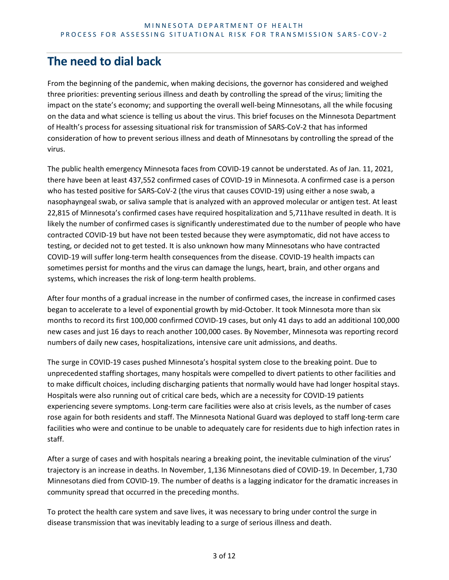# **The need to dial back**

From the beginning of the pandemic, when making decisions, the governor has considered and weighed three priorities: preventing serious illness and death by controlling the spread of the virus; limiting the impact on the state's economy; and supporting the overall well-being Minnesotans, all the while focusing on the data and what science is telling us about the virus. This brief focuses on the Minnesota Department of Health's process for assessing situational risk for transmission of SARS-CoV-2 that has informed consideration of how to prevent serious illness and death of Minnesotans by controlling the spread of the virus.

The public health emergency Minnesota faces from COVID-19 cannot be understated. As of Jan. 11, 2021, there have been at least 437,552 confirmed cases of COVID-19 in Minnesota. A confirmed case is a person who has tested positive for SARS-CoV-2 (the virus that causes COVID-19) using either a nose swab, a nasophayngeal swab, or saliva sample that is analyzed with an approved molecular or antigen test. At least 22,815 of Minnesota's confirmed cases have required hospitalization and 5,711have resulted in death. It is likely the number of confirmed cases is significantly underestimated due to the number of people who have contracted COVID-19 but have not been tested because they were asymptomatic, did not have access to testing, or decided not to get tested. It is also unknown how many Minnesotans who have contracted COVID-19 will suffer long-term health consequences from the disease. COVID-19 health impacts can sometimes persist for months and the virus can damage the lungs, heart, brain, and other organs and systems, which increases the risk of long-term health problems.

After four months of a gradual increase in the number of confirmed cases, the increase in confirmed cases began to accelerate to a level of exponential growth by mid-October. It took Minnesota more than six months to record its first 100,000 confirmed COVID-19 cases, but only 41 days to add an additional 100,000 new cases and just 16 days to reach another 100,000 cases. By November, Minnesota was reporting record numbers of daily new cases, hospitalizations, intensive care unit admissions, and deaths.

The surge in COVID-19 cases pushed Minnesota's hospital system close to the breaking point. Due to unprecedented staffing shortages, many hospitals were compelled to divert patients to other facilities and to make difficult choices, including discharging patients that normally would have had longer hospital stays. Hospitals were also running out of critical care beds, which are a necessity for COVID-19 patients experiencing severe symptoms. Long-term care facilities were also at crisis levels, as the number of cases rose again for both residents and staff. The Minnesota National Guard was deployed to staff long-term care facilities who were and continue to be unable to adequately care for residents due to high infection rates in staff.

After a surge of cases and with hospitals nearing a breaking point, the inevitable culmination of the virus' trajectory is an increase in deaths. In November, 1,136 Minnesotans died of COVID-19. In December, 1,730 Minnesotans died from COVID-19. The number of deaths is a lagging indicator for the dramatic increases in community spread that occurred in the preceding months.

To protect the health care system and save lives, it was necessary to bring under control the surge in disease transmission that was inevitably leading to a surge of serious illness and death.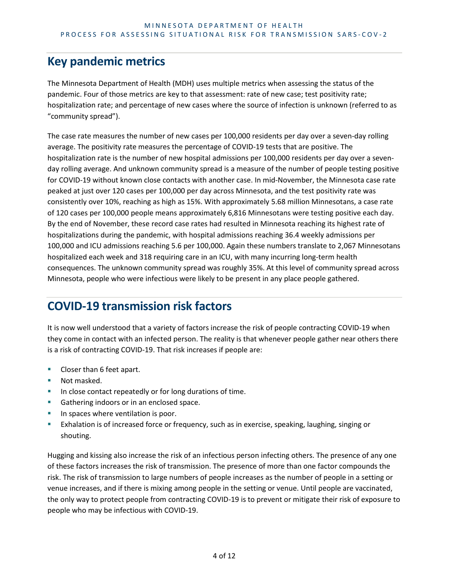# **Key pandemic metrics**

The Minnesota Department of Health (MDH) uses multiple metrics when assessing the status of the pandemic. Four of those metrics are key to that assessment: rate of new case; test positivity rate; hospitalization rate; and percentage of new cases where the source of infection is unknown (referred to as "community spread").

The case rate measures the number of new cases per 100,000 residents per day over a seven-day rolling average. The positivity rate measures the percentage of COVID-19 tests that are positive. The hospitalization rate is the number of new hospital admissions per 100,000 residents per day over a sevenday rolling average. And unknown community spread is a measure of the number of people testing positive for COVID-19 without known close contacts with another case. In mid-November, the Minnesota case rate peaked at just over 120 cases per 100,000 per day across Minnesota, and the test positivity rate was consistently over 10%, reaching as high as 15%. With approximately 5.68 million Minnesotans, a case rate of 120 cases per 100,000 people means approximately 6,816 Minnesotans were testing positive each day. By the end of November, these record case rates had resulted in Minnesota reaching its highest rate of hospitalizations during the pandemic, with hospital admissions reaching 36.4 weekly admissions per 100,000 and ICU admissions reaching 5.6 per 100,000. Again these numbers translate to 2,067 Minnesotans hospitalized each week and 318 requiring care in an ICU, with many incurring long-term health consequences. The unknown community spread was roughly 35%. At this level of community spread across Minnesota, people who were infectious were likely to be present in any place people gathered.

# **COVID-19 transmission risk factors**

It is now well understood that a variety of factors increase the risk of people contracting COVID-19 when they come in contact with an infected person. The reality is that whenever people gather near others there is a risk of contracting COVID-19. That risk increases if people are:

- Closer than 6 feet apart.
- Not masked.
- In close contact repeatedly or for long durations of time.
- Gathering indoors or in an enclosed space.
- In spaces where ventilation is poor.
- Exhalation is of increased force or frequency, such as in exercise, speaking, laughing, singing or shouting.

Hugging and kissing also increase the risk of an infectious person infecting others. The presence of any one of these factors increases the risk of transmission. The presence of more than one factor compounds the risk. The risk of transmission to large numbers of people increases as the number of people in a setting or venue increases, and if there is mixing among people in the setting or venue. Until people are vaccinated, the only way to protect people from contracting COVID-19 is to prevent or mitigate their risk of exposure to people who may be infectious with COVID-19.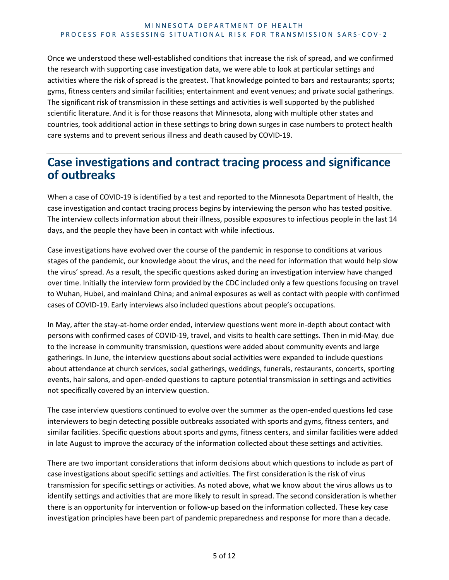Once we understood these well-established conditions that increase the risk of spread, and we confirmed the research with supporting case investigation data, we were able to look at particular settings and activities where the risk of spread is the greatest. That knowledge pointed to bars and restaurants; sports; gyms, fitness centers and similar facilities; entertainment and event venues; and private social gatherings. The significant risk of transmission in these settings and activities is well supported by the published scientific literature. And it is for those reasons that Minnesota, along with multiple other states and countries, took additional action in these settings to bring down surges in case numbers to protect health care systems and to prevent serious illness and death caused by COVID-19.

# **Case investigations and contract tracing process and significance of outbreaks**

When a case of COVID-19 is identified by a test and reported to the Minnesota Department of Health, the case investigation and contact tracing process begins by interviewing the person who has tested positive. The interview collects information about their illness, possible exposures to infectious people in the last 14 days, and the people they have been in contact with while infectious.

Case investigations have evolved over the course of the pandemic in response to conditions at various stages of the pandemic, our knowledge about the virus, and the need for information that would help slow the virus' spread. As a result, the specific questions asked during an investigation interview have changed over time. Initially the interview form provided by the CDC included only a few questions focusing on travel to Wuhan, Hubei, and mainland China; and animal exposures as well as contact with people with confirmed cases of COVID-19. Early interviews also included questions about people's occupations.

In May, after the stay-at-home order ended, interview questions went more in-depth about contact with persons with confirmed cases of COVID-19, travel, and visits to health care settings. Then in mid-May, due to the increase in community transmission, questions were added about community events and large gatherings. In June, the interview questions about social activities were expanded to include questions about attendance at church services, social gatherings, weddings, funerals, restaurants, concerts, sporting events, hair salons, and open-ended questions to capture potential transmission in settings and activities not specifically covered by an interview question.

The case interview questions continued to evolve over the summer as the open-ended questions led case interviewers to begin detecting possible outbreaks associated with sports and gyms, fitness centers, and similar facilities. Specific questions about sports and gyms, fitness centers, and similar facilities were added in late August to improve the accuracy of the information collected about these settings and activities.

There are two important considerations that inform decisions about which questions to include as part of case investigations about specific settings and activities. The first consideration is the risk of virus transmission for specific settings or activities. As noted above, what we know about the virus allows us to identify settings and activities that are more likely to result in spread. The second consideration is whether there is an opportunity for intervention or follow-up based on the information collected. These key case investigation principles have been part of pandemic preparedness and response for more than a decade.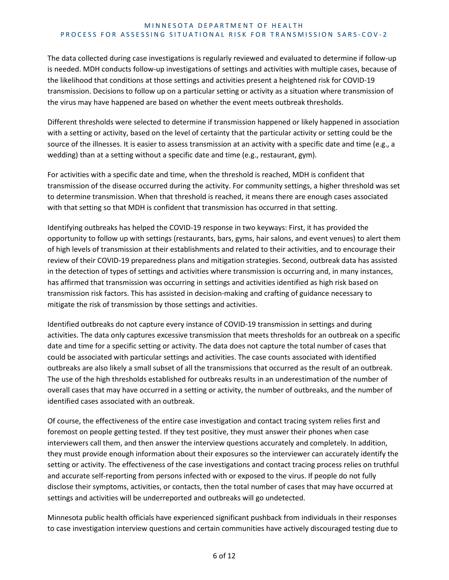The data collected during case investigations is regularly reviewed and evaluated to determine if follow-up is needed. MDH conducts follow-up investigations of settings and activities with multiple cases, because of the likelihood that conditions at those settings and activities present a heightened risk for COVID-19 transmission. Decisions to follow up on a particular setting or activity as a situation where transmission of the virus may have happened are based on whether the event meets outbreak thresholds.

Different thresholds were selected to determine if transmission happened or likely happened in association with a setting or activity, based on the level of certainty that the particular activity or setting could be the source of the illnesses. It is easier to assess transmission at an activity with a specific date and time (e.g., a wedding) than at a setting without a specific date and time (e.g., restaurant, gym).

For activities with a specific date and time, when the threshold is reached, MDH is confident that transmission of the disease occurred during the activity. For community settings, a higher threshold was set to determine transmission. When that threshold is reached, it means there are enough cases associated with that setting so that MDH is confident that transmission has occurred in that setting.

Identifying outbreaks has helped the COVID-19 response in two keyways: First, it has provided the opportunity to follow up with settings (restaurants, bars, gyms, hair salons, and event venues) to alert them of high levels of transmission at their establishments and related to their activities, and to encourage their review of their COVID-19 preparedness plans and mitigation strategies. Second, outbreak data has assisted in the detection of types of settings and activities where transmission is occurring and, in many instances, has affirmed that transmission was occurring in settings and activities identified as high risk based on transmission risk factors. This has assisted in decision-making and crafting of guidance necessary to mitigate the risk of transmission by those settings and activities.

Identified outbreaks do not capture every instance of COVID-19 transmission in settings and during activities. The data only captures excessive transmission that meets thresholds for an outbreak on a specific date and time for a specific setting or activity. The data does not capture the total number of cases that could be associated with particular settings and activities. The case counts associated with identified outbreaks are also likely a small subset of all the transmissions that occurred as the result of an outbreak. The use of the high thresholds established for outbreaks results in an underestimation of the number of overall cases that may have occurred in a setting or activity, the number of outbreaks, and the number of identified cases associated with an outbreak.

Of course, the effectiveness of the entire case investigation and contact tracing system relies first and foremost on people getting tested. If they test positive, they must answer their phones when case interviewers call them, and then answer the interview questions accurately and completely. In addition, they must provide enough information about their exposures so the interviewer can accurately identify the setting or activity. The effectiveness of the case investigations and contact tracing process relies on truthful and accurate self-reporting from persons infected with or exposed to the virus. If people do not fully disclose their symptoms, activities, or contacts, then the total number of cases that may have occurred at settings and activities will be underreported and outbreaks will go undetected.

Minnesota public health officials have experienced significant pushback from individuals in their responses to case investigation interview questions and certain communities have actively discouraged testing due to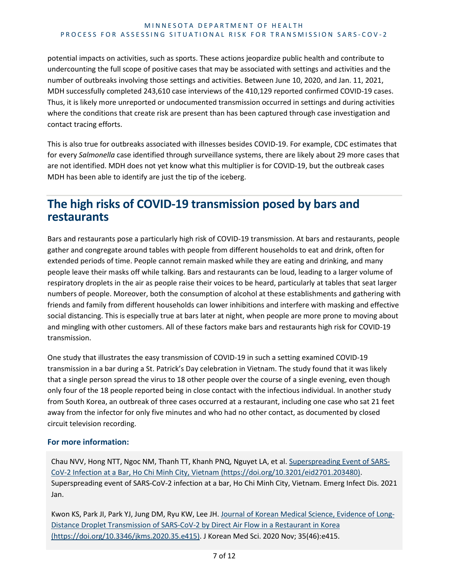potential impacts on activities, such as sports. These actions jeopardize public health and contribute to undercounting the full scope of positive cases that may be associated with settings and activities and the number of outbreaks involving those settings and activities. Between June 10, 2020, and Jan. 11, 2021, MDH successfully completed 243,610 case interviews of the 410,129 reported confirmed COVID-19 cases. Thus, it is likely more unreported or undocumented transmission occurred in settings and during activities where the conditions that create risk are present than has been captured through case investigation and contact tracing efforts.

This is also true for outbreaks associated with illnesses besides COVID-19. For example, CDC estimates that for every *Salmonella* case identified through surveillance systems, there are likely about 29 more cases that are not identified. MDH does not yet know what this multiplier is for COVID-19, but the outbreak cases MDH has been able to identify are just the tip of the iceberg.

# **The high risks of COVID-19 transmission posed by bars and restaurants**

Bars and restaurants pose a particularly high risk of COVID-19 transmission. At bars and restaurants, people gather and congregate around tables with people from different households to eat and drink, often for extended periods of time. People cannot remain masked while they are eating and drinking, and many people leave their masks off while talking. Bars and restaurants can be loud, leading to a larger volume of respiratory droplets in the air as people raise their voices to be heard, particularly at tables that seat larger numbers of people. Moreover, both the consumption of alcohol at these establishments and gathering with friends and family from different households can lower inhibitions and interfere with masking and effective social distancing. This is especially true at bars later at night, when people are more prone to moving about and mingling with other customers. All of these factors make bars and restaurants high risk for COVID-19 transmission.

One study that illustrates the easy transmission of COVID-19 in such a setting examined COVID-19 transmission in a bar during a St. Patrick's Day celebration in Vietnam. The study found that it was likely that a single person spread the virus to 18 other people over the course of a single evening, even though only four of the 18 people reported being in close contact with the infectious individual. In another study from South Korea, an outbreak of three cases occurred at a restaurant, including one case who sat 21 feet away from the infector for only five minutes and who had no other contact, as documented by closed circuit television recording.

#### **For more information:**

Chau NVV, Hong NTT, Ngoc NM, Thanh TT, Khanh PNQ, Nguyet LA, et al. [Superspreading Event of SARS-](https://doi.org/10.3201/eid2701.203480)[CoV-2 Infection at a Bar, Ho Chi Minh City, Vietnam \(https://doi.org/10.3201/eid2701.203480\).](https://doi.org/10.3201/eid2701.203480) Superspreading event of SARS-CoV-2 infection at a bar, Ho Chi Minh City, Vietnam. Emerg Infect Dis. 2021 Jan.

Kwon KS, Park JI, Park YJ, Jung DM, Ryu KW, Lee JH[. Journal of Korean Medical Science, Evidence of Long-](https://doi.org/10.3346/jkms.2020.35.e415)[Distance Droplet Transmission of SARS-CoV-2 by Direct Air Flow in a Restaurant in Korea](https://doi.org/10.3346/jkms.2020.35.e415)  [\(https://doi.org/10.3346/jkms.2020.35.e415\)](https://doi.org/10.3346/jkms.2020.35.e415). J Korean Med Sci. 2020 Nov; 35(46):e415.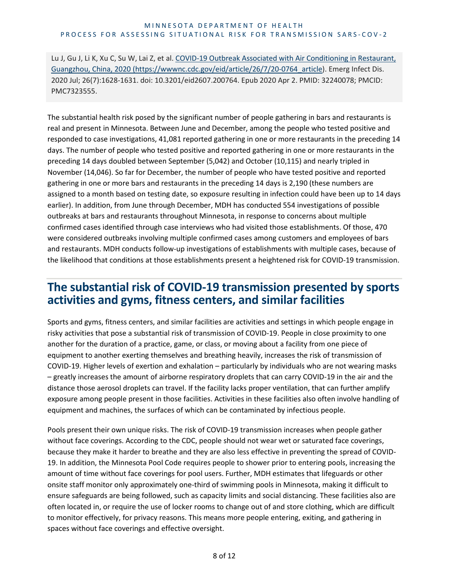Lu J, Gu J, Li K, Xu C, Su W, Lai Z, et al. COVID-19 Outbreak Associated with Air Conditioning in Restaurant, [Guangzhou, China, 2020 \(https://wwwnc.cdc.gov/eid/article/26/7/20-0764\\_article\)](https://wwwnc.cdc.gov/eid/article/26/7/20-0764_article). Emerg Infect Dis. 2020 Jul; 26(7):1628-1631. doi: 10.3201/eid2607.200764. Epub 2020 Apr 2. PMID: 32240078; PMCID: PMC7323555.

The substantial health risk posed by the significant number of people gathering in bars and restaurants is real and present in Minnesota. Between June and December, among the people who tested positive and responded to case investigations, 41,081 reported gathering in one or more restaurants in the preceding 14 days. The number of people who tested positive and reported gathering in one or more restaurants in the preceding 14 days doubled between September (5,042) and October (10,115) and nearly tripled in November (14,046). So far for December, the number of people who have tested positive and reported gathering in one or more bars and restaurants in the preceding 14 days is 2,190 (these numbers are assigned to a month based on testing date, so exposure resulting in infection could have been up to 14 days earlier). In addition, from June through December, MDH has conducted 554 investigations of possible outbreaks at bars and restaurants throughout Minnesota, in response to concerns about multiple confirmed cases identified through case interviews who had visited those establishments. Of those, 470 were considered outbreaks involving multiple confirmed cases among customers and employees of bars and restaurants. MDH conducts follow-up investigations of establishments with multiple cases, because of the likelihood that conditions at those establishments present a heightened risk for COVID-19 transmission.

### **The substantial risk of COVID-19 transmission presented by sports activities and gyms, fitness centers, and similar facilities**

Sports and gyms, fitness centers, and similar facilities are activities and settings in which people engage in risky activities that pose a substantial risk of transmission of COVID-19. People in close proximity to one another for the duration of a practice, game, or class, or moving about a facility from one piece of equipment to another exerting themselves and breathing heavily, increases the risk of transmission of COVID-19. Higher levels of exertion and exhalation – particularly by individuals who are not wearing masks – greatly increases the amount of airborne respiratory droplets that can carry COVID-19 in the air and the distance those aerosol droplets can travel. If the facility lacks proper ventilation, that can further amplify exposure among people present in those facilities. Activities in these facilities also often involve handling of equipment and machines, the surfaces of which can be contaminated by infectious people.

Pools present their own unique risks. The risk of COVID-19 transmission increases when people gather without face coverings. According to the CDC, people should not wear wet or saturated face coverings, because they make it harder to breathe and they are also less effective in preventing the spread of COVID-19. In addition, the Minnesota Pool Code requires people to shower prior to entering pools, increasing the amount of time without face coverings for pool users. Further, MDH estimates that lifeguards or other onsite staff monitor only approximately one-third of swimming pools in Minnesota, making it difficult to ensure safeguards are being followed, such as capacity limits and social distancing. These facilities also are often located in, or require the use of locker rooms to change out of and store clothing, which are difficult to monitor effectively, for privacy reasons. This means more people entering, exiting, and gathering in spaces without face coverings and effective oversight.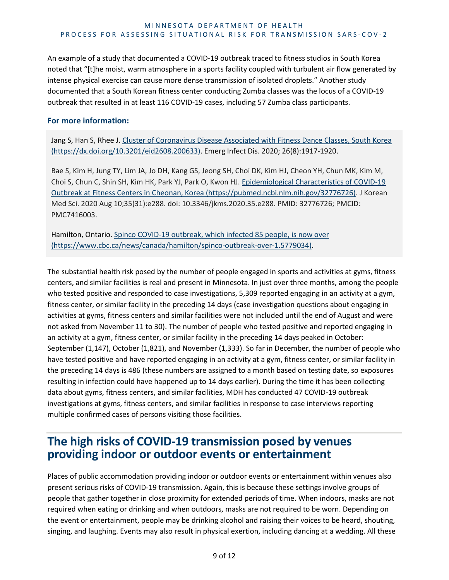An example of a study that documented a COVID-19 outbreak traced to fitness studios in South Korea noted that "[t]he moist, warm atmosphere in a sports facility coupled with turbulent air flow generated by intense physical exercise can cause more dense transmission of isolated droplets." Another study documented that a South Korean fitness center conducting Zumba classes was the locus of a COVID-19 outbreak that resulted in at least 116 COVID-19 cases, including 57 Zumba class participants.

#### **For more information:**

Jang S, Han S, Rhee J. Cluster of Coronavirus Disease Associated with Fitness Dance Classes, South Korea [\(https://dx.doi.org/10.3201/eid2608.200633\).](https://pubmed.ncbi.nlm.nih.gov/32776726/) Emerg Infect Dis. 2020; 26(8):1917-1920.

Bae S, Kim H, Jung TY, Lim JA, Jo DH, Kang GS, Jeong SH, Choi DK, Kim HJ, Cheon YH, Chun MK, Kim M, Choi S, Chun C, Shin SH, Kim HK, Park YJ, Park O, Kwon HJ. [Epidemiological Characteristics of COVID-19](https://pubmed.ncbi.nlm.nih.gov/32776726)  [Outbreak at Fitness Centers in Cheonan, Korea \(https://pubmed.ncbi.nlm.nih.gov/32776726\).](https://pubmed.ncbi.nlm.nih.gov/32776726) J Korean Med Sci. 2020 Aug 10;35(31):e288. doi: 10.3346/jkms.2020.35.e288. PMID: 32776726; PMCID: PMC7416003.

Hamilton, Ontario. [Spinco COVID-19 outbreak, which infected 85 people, is now over](https://www.cbc.ca/news/canada/hamilton/spinco-outbreak-over-1.5779034)  [\(https://www.cbc.ca/news/canada/hamilton/spinco-outbreak-over-1.5779034\).](https://www.cbc.ca/news/canada/hamilton/spinco-outbreak-over-1.5779034)

The substantial health risk posed by the number of people engaged in sports and activities at gyms, fitness centers, and similar facilities is real and present in Minnesota. In just over three months, among the people who tested positive and responded to case investigations, 5,309 reported engaging in an activity at a gym, fitness center, or similar facility in the preceding 14 days (case investigation questions about engaging in activities at gyms, fitness centers and similar facilities were not included until the end of August and were not asked from November 11 to 30). The number of people who tested positive and reported engaging in an activity at a gym, fitness center, or similar facility in the preceding 14 days peaked in October: September (1,147), October (1,821), and November (1,333). So far in December, the number of people who have tested positive and have reported engaging in an activity at a gym, fitness center, or similar facility in the preceding 14 days is 486 (these numbers are assigned to a month based on testing date, so exposures resulting in infection could have happened up to 14 days earlier). During the time it has been collecting data about gyms, fitness centers, and similar facilities, MDH has conducted 47 COVID-19 outbreak investigations at gyms, fitness centers, and similar facilities in response to case interviews reporting multiple confirmed cases of persons visiting those facilities.

## **The high risks of COVID-19 transmission posed by venues providing indoor or outdoor events or entertainment**

Places of public accommodation providing indoor or outdoor events or entertainment within venues also present serious risks of COVID-19 transmission. Again, this is because these settings involve groups of people that gather together in close proximity for extended periods of time. When indoors, masks are not required when eating or drinking and when outdoors, masks are not required to be worn. Depending on the event or entertainment, people may be drinking alcohol and raising their voices to be heard, shouting, singing, and laughing. Events may also result in physical exertion, including dancing at a wedding. All these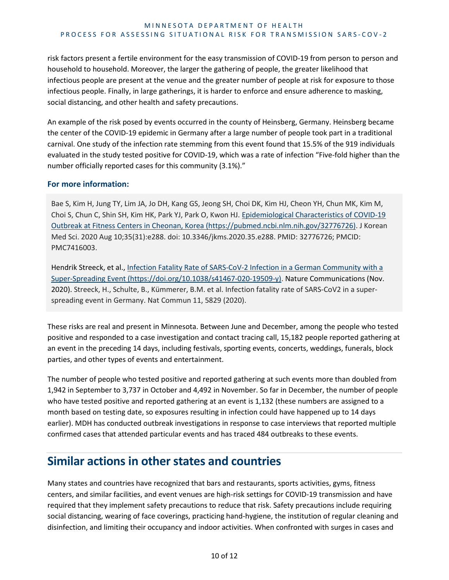risk factors present a fertile environment for the easy transmission of COVID-19 from person to person and household to household. Moreover, the larger the gathering of people, the greater likelihood that infectious people are present at the venue and the greater number of people at risk for exposure to those infectious people. Finally, in large gatherings, it is harder to enforce and ensure adherence to masking, social distancing, and other health and safety precautions.

An example of the risk posed by events occurred in the county of Heinsberg, Germany. Heinsberg became the center of the COVID-19 epidemic in Germany after a large number of people took part in a traditional carnival. One study of the infection rate stemming from this event found that 15.5% of the 919 individuals evaluated in the study tested positive for COVID-19, which was a rate of infection "Five-fold higher than the number officially reported cases for this community (3.1%)."

#### **For more information:**

Bae S, Kim H, Jung TY, Lim JA, Jo DH, Kang GS, Jeong SH, Choi DK, Kim HJ, Cheon YH, Chun MK, Kim M, Choi S, Chun C, Shin SH, Kim HK, Park YJ, Park O, Kwon HJ. [Epidemiological Characteristics of COVID-19](https://pubmed.ncbi.nlm.nih.gov/32776726)  [Outbreak at Fitness Centers in Cheonan, Korea \(https://pubmed.ncbi.nlm.nih.gov/32776726\).](https://pubmed.ncbi.nlm.nih.gov/32776726) J Korean Med Sci. 2020 Aug 10;35(31):e288. doi: 10.3346/jkms.2020.35.e288. PMID: 32776726; PMCID: PMC7416003.

Hendrik Streeck, et al., [Infection Fatality Rate of SARS-CoV-2 Infection in a German Community with a](https://doi.org/10.1038/s41467-020-19509-y)  [Super-Spreading Event \(https://doi.org/10.1038/s41467-020-19509-y\).](https://doi.org/10.1038/s41467-020-19509-y) Nature Communications (Nov. 2020). Streeck, H., Schulte, B., Kümmerer, B.M. et al. Infection fatality rate of SARS-CoV2 in a superspreading event in Germany. Nat Commun 11, 5829 (2020).

These risks are real and present in Minnesota. Between June and December, among the people who tested positive and responded to a case investigation and contact tracing call, 15,182 people reported gathering at an event in the preceding 14 days, including festivals, sporting events, concerts, weddings, funerals, block parties, and other types of events and entertainment.

The number of people who tested positive and reported gathering at such events more than doubled from 1,942 in September to 3,737 in October and 4,492 in November. So far in December, the number of people who have tested positive and reported gathering at an event is 1,132 (these numbers are assigned to a month based on testing date, so exposures resulting in infection could have happened up to 14 days earlier). MDH has conducted outbreak investigations in response to case interviews that reported multiple confirmed cases that attended particular events and has traced 484 outbreaks to these events.

## **Similar actions in other states and countries**

Many states and countries have recognized that bars and restaurants, sports activities, gyms, fitness centers, and similar facilities, and event venues are high-risk settings for COVID-19 transmission and have required that they implement safety precautions to reduce that risk. Safety precautions include requiring social distancing, wearing of face coverings, practicing hand-hygiene, the institution of regular cleaning and disinfection, and limiting their occupancy and indoor activities. When confronted with surges in cases and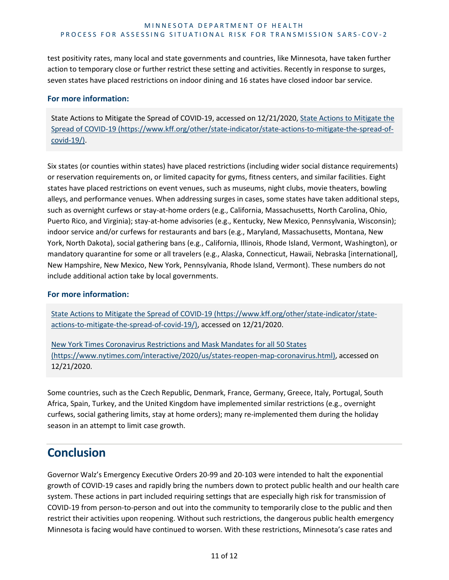test positivity rates, many local and state governments and countries, like Minnesota, have taken further action to temporary close or further restrict these setting and activities. Recently in response to surges, seven states have placed restrictions on indoor dining and 16 states have closed indoor bar service.

#### **For more information:**

State Actions to Mitigate the Spread of COVID-19, accessed on 12/21/2020[, State Actions to Mitigate the](https://www.kff.org/other/state-indicator/state-actions-to-mitigate-the-spread-of-covid-19/)  [Spread of COVID-19 \(https://www.kff.org/other/state-indicator/state-actions-to-mitigate-the-spread-of](https://www.kff.org/other/state-indicator/state-actions-to-mitigate-the-spread-of-covid-19/)[covid-19/\)](https://www.kff.org/other/state-indicator/state-actions-to-mitigate-the-spread-of-covid-19/).

Six states (or counties within states) have placed restrictions (including wider social distance requirements) or reservation requirements on, or limited capacity for gyms, fitness centers, and similar facilities. Eight states have placed restrictions on event venues, such as museums, night clubs, movie theaters, bowling alleys, and performance venues. When addressing surges in cases, some states have taken additional steps, such as overnight curfews or stay-at-home orders (e.g., California, Massachusetts, North Carolina, Ohio, Puerto Rico, and Virginia); stay-at-home advisories (e.g., Kentucky, New Mexico, Pennsylvania, Wisconsin); indoor service and/or curfews for restaurants and bars (e.g., Maryland, Massachusetts, Montana, New York, North Dakota), social gathering bans (e.g., California, Illinois, Rhode Island, Vermont, Washington), or mandatory quarantine for some or all travelers (e.g., Alaska, Connecticut, Hawaii, Nebraska [international], New Hampshire, New Mexico, New York, Pennsylvania, Rhode Island, Vermont). These numbers do not include additional action take by local governments.

#### **For more information:**

[State Actions to Mitigate the Spread of COVID-19 \(https://www.kff.org/other/state-indicator/state](https://www.kff.org/other/state-indicator/state-actions-to-mitigate-the-spread-of-covid-19/)[actions-to-mitigate-the-spread-of-covid-19/\),](https://www.kff.org/other/state-indicator/state-actions-to-mitigate-the-spread-of-covid-19/) accessed on 12/21/2020.

[New York Times Coronavirus Restrictions and Mask Mandates for all 50 States](https://www.nytimes.com/interactive/2020/us/states-reopen-map-coronavirus.html)  [\(https://www.nytimes.com/interactive/2020/us/states-reopen-map-coronavirus.html\)](https://www.nytimes.com/interactive/2020/us/states-reopen-map-coronavirus.html), accessed on 12/21/2020.

Some countries, such as the Czech Republic, Denmark, France, Germany, Greece, Italy, Portugal, South Africa, Spain, Turkey, and the United Kingdom have implemented similar restrictions (e.g., overnight curfews, social gathering limits, stay at home orders); many re-implemented them during the holiday season in an attempt to limit case growth.

## **Conclusion**

Governor Walz's Emergency Executive Orders 20-99 and 20-103 were intended to halt the exponential growth of COVID-19 cases and rapidly bring the numbers down to protect public health and our health care system. These actions in part included requiring settings that are especially high risk for transmission of COVID-19 from person-to-person and out into the community to temporarily close to the public and then restrict their activities upon reopening. Without such restrictions, the dangerous public health emergency Minnesota is facing would have continued to worsen. With these restrictions, Minnesota's case rates and